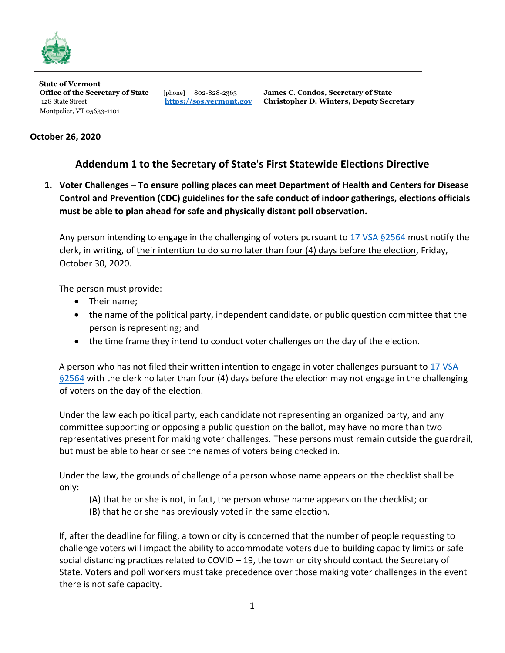

**State of Vermont**  Montpelier, VT 05633-1101

**Office of the Secretary of State** [phone] 802-828-2363 **James C. Condos, Secretary of State**  128 State Street **[https://sos.vermont.gov](https://sos.vermont.gov/) Christopher D. Winters, Deputy Secretary**

## **October 26, 2020**

## **Addendum 1 to the Secretary of State's First Statewide Elections Directive**

**1. Voter Challenges – To ensure polling places can meet Department of Health and Centers for Disease Control and Prevention (CDC) guidelines for the safe conduct of indoor gatherings, elections officials must be able to plan ahead for safe and physically distant poll observation.** 

Any person intending to engage in the challenging of voters pursuant to [17 VSA §2564](https://legislature.vermont.gov/statutes/section/17/051/02564) must notify the clerk, in writing, of their intention to do so no later than four (4) days before the election, Friday, October 30, 2020.

The person must provide:

- Their name;
- the name of the political party, independent candidate, or public question committee that the person is representing; and
- the time frame they intend to conduct voter challenges on the day of the election.

A person who has not filed their written intention to engage in voter challenges pursuant to 17 VSA [§2564](https://legislature.vermont.gov/statutes/section/17/051/02564) with the clerk no later than four (4) days before the election may not engage in the challenging of voters on the day of the election.

Under the law each political party, each candidate not representing an organized party, and any committee supporting or opposing a public question on the ballot, may have no more than two representatives present for making voter challenges. These persons must remain outside the guardrail, but must be able to hear or see the names of voters being checked in.

Under the law, the grounds of challenge of a person whose name appears on the checklist shall be only:

- (A) that he or she is not, in fact, the person whose name appears on the checklist; or
- (B) that he or she has previously voted in the same election.

If, after the deadline for filing, a town or city is concerned that the number of people requesting to challenge voters will impact the ability to accommodate voters due to building capacity limits or safe social distancing practices related to COVID – 19, the town or city should contact the Secretary of State. Voters and poll workers must take precedence over those making voter challenges in the event there is not safe capacity.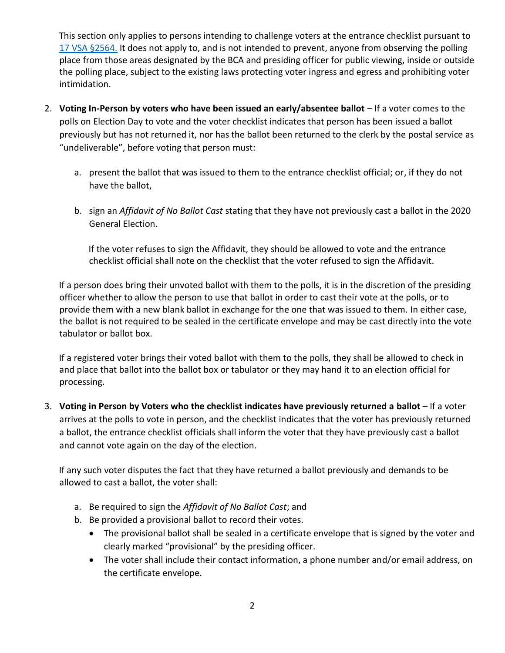This section only applies to persons intending to challenge voters at the entrance checklist pursuant to [17 VSA §2564.](https://legislature.vermont.gov/statutes/section/17/051/02564) It does not apply to, and is not intended to prevent, anyone from observing the polling place from those areas designated by the BCA and presiding officer for public viewing, inside or outside the polling place, subject to the existing laws protecting voter ingress and egress and prohibiting voter intimidation.

- 2. **Voting In-Person by voters who have been issued an early/absentee ballot** If a voter comes to the polls on Election Day to vote and the voter checklist indicates that person has been issued a ballot previously but has not returned it, nor has the ballot been returned to the clerk by the postal service as "undeliverable", before voting that person must:
	- a. present the ballot that was issued to them to the entrance checklist official; or, if they do not have the ballot,
	- b. sign an *Affidavit of No Ballot Cast* stating that they have not previously cast a ballot in the 2020 General Election.

If the voter refuses to sign the Affidavit, they should be allowed to vote and the entrance checklist official shall note on the checklist that the voter refused to sign the Affidavit.

If a person does bring their unvoted ballot with them to the polls, it is in the discretion of the presiding officer whether to allow the person to use that ballot in order to cast their vote at the polls, or to provide them with a new blank ballot in exchange for the one that was issued to them. In either case, the ballot is not required to be sealed in the certificate envelope and may be cast directly into the vote tabulator or ballot box.

If a registered voter brings their voted ballot with them to the polls, they shall be allowed to check in and place that ballot into the ballot box or tabulator or they may hand it to an election official for processing.

3. **Voting in Person by Voters who the checklist indicates have previously returned a ballot** – If a voter arrives at the polls to vote in person, and the checklist indicates that the voter has previously returned a ballot, the entrance checklist officials shall inform the voter that they have previously cast a ballot and cannot vote again on the day of the election.

If any such voter disputes the fact that they have returned a ballot previously and demands to be allowed to cast a ballot, the voter shall:

- a. Be required to sign the *Affidavit of No Ballot Cast*; and
- b. Be provided a provisional ballot to record their votes.
	- The provisional ballot shall be sealed in a certificate envelope that is signed by the voter and clearly marked "provisional" by the presiding officer.
	- The voter shall include their contact information, a phone number and/or email address, on the certificate envelope.